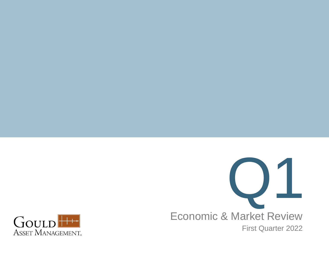

Economic & Market Review First Quarter 2022

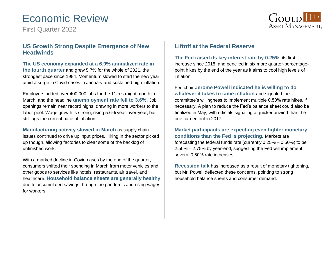# Economic Review

First Quarter 2022



### **US Growth Strong Despite Emergence of New Headwinds**

**The US economy expanded at a 6.9% annualized rate in the fourth quarter** and grew 5.7% for the whole of 2021, the strongest pace since 1984. Momentum slowed to start the new year amid a surge in Covid cases in January and sustained high inflation.

Employers added over 400,000 jobs for the 11th straight month in March, and the headline **unemployment rate fell to 3.6%.** Job openings remain near record highs, drawing in more workers to the labor pool. Wage growth is strong, rising 5.6% year-over-year, but still lags the current pace of inflation.

**Manufacturing activity slowed in March** as supply chain issues continued to drive up input prices. Hiring in the sector picked up though, allowing factories to clear some of the backlog of unfinished work.

With a marked decline in Covid cases by the end of the quarter, consumers shifted their spending in March from motor vehicles and other goods to services like hotels, restaurants, air travel, and healthcare. **Household balance sheets are generally healthy**  due to accumulated savings through the pandemic and rising wages for workers.

### **Liftoff at the Federal Reserve**

**The Fed raised its key interest rate by 0.25%**, its first increase since 2018, and penciled in six more quarter-percentagepoint hikes by the end of the year as it aims to cool high levels of inflation.

Fed chair **Jerome Powell indicated he is willing to do whatever it takes to tame inflation** and signaled the committee's willingness to implement multiple 0.50% rate hikes, if necessary. A plan to reduce the Fed's balance sheet could also be finalized in May, with officials signaling a quicker unwind than the one carried out in 2017.

**Market participants are expecting even tighter monetary conditions than the Fed is projecting.** Markets are forecasting the federal funds rate (currently 0.25% – 0.50%) to be 2.50% – 2.75% by year-end, suggesting the Fed will implement several 0.50% rate increases.

**Recession talk** has increased as a result of monetary tightening, but Mr. Powell deflected these concerns, pointing to strong household balance sheets and consumer demand.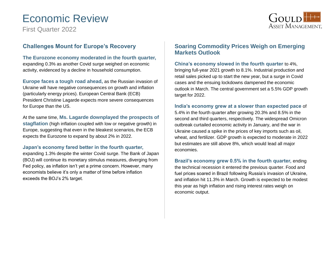# Economic Review

First Quarter 2022



### **Challenges Mount for Europe's Recovery**

**The Eurozone economy moderated in the fourth quarter,**  expanding 0.3% as another Covid surge weighed on economic activity, evidenced by a decline in household consumption.

**Europe faces a tough road ahead,** as the Russian invasion of Ukraine will have negative consequences on growth and inflation (particularly energy prices). European Central Bank (ECB) President Christine Lagarde expects more severe consequences for Europe than the US.

At the same time, **Ms. Lagarde downplayed the prospects of stagflation** (high inflation coupled with low or negative growth) in Europe, suggesting that even in the bleakest scenarios, the ECB expects the Eurozone to expand by about 2% in 2022.

#### **Japan's economy fared better in the fourth quarter,**

expanding 1.3% despite the winter Covid surge. The Bank of Japan (BOJ) will continue its monetary stimulus measures, diverging from Fed policy, as inflation isn't yet a prime concern. However, many economists believe it's only a matter of time before inflation exceeds the BOJ's 2% target.

### **Soaring Commodity Prices Weigh on Emerging Markets Outlook**

**China's economy slowed in the fourth quarter** to 4%, bringing full-year 2021 growth to 8.1%. Industrial production and retail sales picked up to start the new year, but a surge in Covid cases and the ensuing lockdowns dampened the economic outlook in March. The central government set a 5.5% GDP growth target for 2022.

**India's economy grew at a slower than expected pace** of 5.4% in the fourth quarter after growing 20.3% and 8.5% in the second and third quarters, respectively. The widespread Omicron outbreak curtailed economic activity in January, and the war in Ukraine caused a spike in the prices of key imports such as oil, wheat, and fertilizer. GDP growth is expected to moderate in 2022 but estimates are still above 8%, which would lead all major economies.

**Brazil's economy grew 0.5% in the fourth quarter,** ending the technical recession it entered the previous quarter. Food and fuel prices soared in Brazil following Russia's invasion of Ukraine, and inflation hit 11.3% in March. Growth is expected to be modest this year as high inflation and rising interest rates weigh on economic output.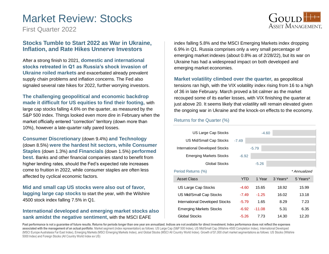## Market Review: Stocks



First Quarter 2022

### **Stocks Tumble to Start 2022 as War in Ukraine, Inflation, and Rate Hikes Unnerve Investors**

After a strong finish to 2021, **domestic and international stocks retreated in Q1 as Russia's shock invasion of Ukraine roiled markets** and exacerbated already prevalent supply chain problems and inflation concerns. The Fed also signaled several rate hikes for 2022, further worrying investors.

**The challenging geopolitical and economic backdrop made it difficult for US equities to find their footing,** with large cap stocks falling 4.6% on the quarter, as measured by the S&P 500 index. Things looked even more dire in February when the market officially entered "correction" territory (down more than 10%), however a late-quarter rally pared losses.

**Consumer Discretionary** (down 9.4%) **and Technology**  (down 8.5%) **were the hardest hit sectors, while Consumer Staples** (down 1.3%) **and Financials** (down 1.5%) **performed best.** Banks and other financial companies stand to benefit from higher lending rates, should the Fed's expected rate increases come to fruition in 2022, while consumer staples are often less affected by cyclical economic factors.

**Mid and small cap US stocks were also out of favor, lagging large cap stocks** to start the year, with the Wilshire 4500 stock index falling 7.5% in Q1.

### **International developed and emerging market stocks also sank amidst the negative sentiment,** with the MSCI EAFE

index falling 5.8% and the MSCI Emerging Markets index dropping 6.9% in Q1. Russia comprises only a very small percentage of emerging market indexes (about 0.8% as of 2/28/22), but its war on Ukraine has had a widespread impact on both developed and emerging market economies.

**Market volatility climbed over the quarter,** as geopolitical tensions ran high, with the VIX volatility index rising from 16 to a high of 36 in late February. March proved a bit calmer as the market recouped some of its earlier losses, with VIX finishing the quarter at just above 20. It seems likely that volatility will remain elevated given the ongoing war in Ukraine and the knock-on effects to the economy.

#### Returns for the Quarter (%)

| US Large Cap Stocks                   |            |          | $-4.60$ |          |              |
|---------------------------------------|------------|----------|---------|----------|--------------|
| US Mid/Small Cap Stocks               | $-7.49$    |          |         |          |              |
| <b>International Developed Stocks</b> |            | $-5.79$  |         |          |              |
| <b>Emerging Markets Stocks</b>        | $-6.92$    |          |         |          |              |
| Global Stocks                         |            | $-5.26$  |         |          |              |
| Period Returns (%)                    |            |          |         |          | * Annualized |
| <b>Asset Class</b>                    | <b>YTD</b> |          | 1 Year  | 3 Years* | 5 Years*     |
| US Large Cap Stocks                   | $-4.60$    | 15.65    |         | 18.92    | 15.99        |
| US Mid/Small Cap Stocks               | -7.49      | $-1.25$  |         | 16.02    | 13.18        |
| International Developed Stocks        | $-5.79$    |          | 1.65    | 8.29     | 7.23         |
| <b>Emerging Markets Stocks</b>        | -6.92      | $-11.08$ |         | 5.31     | 6.35         |
| Global Stocks                         | $-5.26$    |          | 7.73    | 14.30    | 12.20        |

Past performance is not a guarantee of future results. Returns for periods longer than one year are annualized. Indices are not available for direct investment. Index performance does not reflect the expenses **associated with the management of an actual portfolio**. Market segment (index representation) as follows: US Large Cap (S&P 500 Index), US Mid/Small Cap (Wilshire 4500 Completion Index), International Developed (MSCI Europe Australasia Far East Index), Emerging Markets (MSCI Emerging Markets Index), and Global Stocks (MSCI All Country World Index). Growth of \$1,000 chart market segmentations as follows: US Stocks (Wilshire 5000 Index) and Foreign Stocks (All Country World Index ex US)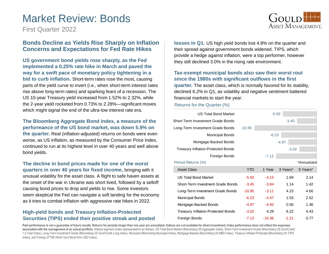## Market Review: Bonds

First Quarter 2022

### **Bonds Decline as Yields Rise Sharply on Inflation Concerns and Expectations for Fed Rate Hikes**

**US government bond yields rose sharply, as the Fed implemented a 0.25% rate hike in March and paved the way for a swift pace of monetary policy tightening in a bid to curb inflation.** Short-term rates rose the most, causing parts of the yield curve to invert (i.e., when short-term interest rates rise above long-term rates) and sparking fears of a recession. The US 10-year Treasury yield increased from 1.52% to 2.32%, while the 2-year yield rocketed from 0.73% to 2.28%—significant moves which might signal the end of the ultra-low interest rate era.

#### **The Bloomberg Aggregate Bond index, a measure of the performance of the US bond market, was down 5.9% on**

**the quarter.** Real (inflation-adjusted) returns on bonds were even worse, as US inflation, as measured by the Consumer Price Index, continued to run at its highest level in over 40 years and well above bond yields.

**The decline in bond prices made for one of the worst quarters in over 40 years for fixed income,** bringing with it unusual volatility for the asset class. A flight to safe haven assets at the onset of the war in Ukraine was short lived, followed by a selloff causing bond prices to drop and yields to rise. Some investors seem skeptical the Fed can navigate a soft landing for the economy as it tries to combat inflation with aggressive rate hikes in 2022.

### **High-yield bonds and Treasury Inflation-Protected Securities (TIPS) ended their positive streak and posted**

**losses in Q1.** US high yield bonds lost 4.8% on the quarter and their spread against government bonds widened. TIPS, which provide a hedge against inflation, were a top performer, however they still declined 3.0% in the rising rate environment.

**Tax-exempt municipal bonds also saw their worst rout since the 1980s with significant outflows in the first quarter.** The asset class, which is normally favored for its stability, declined 6.2% in Q1, as volatility and negative sentiment battered financial markets to start the year.

#### Returns for the Quarter (%)

| <b>US Total Bond Market</b>               |            |         | $-5.93$  |             |
|-------------------------------------------|------------|---------|----------|-------------|
| Short-Term Investment Grade Bonds         |            |         | $-3.45$  |             |
| Long-Term Investment Grade Bonds          | $-10.95$   |         |          |             |
| <b>Municipal Bonds</b>                    |            | $-6.23$ |          |             |
| Mortgage-Backed Bonds                     |            |         | $-4.97$  |             |
| <b>Treasury Inflation-Protected Bonds</b> |            |         | $-3.02$  |             |
| Foreign Bonds                             |            | $-7.13$ |          |             |
| Period Returns (%)                        |            |         |          | *Annualized |
|                                           |            |         |          |             |
| <b>Asset Class</b>                        | <b>YTD</b> | 1 Year  | 3 Years* | 5 Years*    |
| <b>US Total Bond Market</b>               | $-5.93$    | $-4.15$ | 1.69     | 2.14        |
| Short-Term Investment Grade Bonds         | $-3.45$    | $-3.84$ | 1.14     | 1.42        |
| Long-Term Investment Grade Bonds          | $-10.95$   | $-3.11$ | 4.23     | 4.60        |
| <b>Municipal Bonds</b>                    | $-6.23$    | $-4.47$ | 1.53     | 2.52        |
| Mortgage-Backed Bonds                     | -4.97      | $-4.92$ | 0.56     | 1.36        |
| <b>Treasury Inflation-Protected Bonds</b> | $-3.02$    | 4.29    | 6.22     | 4.43        |

Past performance is not a quarantee of future results. Returns for periods longer than one year are annualized. Indices are not available for direct investment. Index performance does not reflect the expenses **associated with the management of an actual portfolio**. Market segment (index representation) as follows: US Total Bond Market (Bloomberg US Aggregate Index), Short-Term Investment Grade (Bloomberg US Govt/Credit 1-5 Year Index), Long-Term Investment Grade (Bloomberg US Govt/Credit Long Index), Municipal (Bloomberg Municipal Index), Mortgage Backed (Bloomberg US MBS Index), Treasury Inflated-Protected (Bloomberg US TIPS Index), and Foreign (FTSE World Govt Bond Non USD Index).

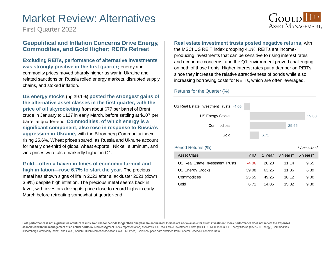## Market Review: Alternatives



First Quarter 2022

### **Geopolitical and Inflation Concerns Drive Energy, Commodities, and Gold Higher; REITs Retreat**

**Excluding REITs, performance of alternative investments was strongly positive in the first quarter;** energy and commodity prices moved sharply higher as war in Ukraine and related sanctions on Russia roiled energy markets, disrupted supply chains, and stoked inflation.

**US energy stocks** (up 39.1%) **posted the strongest gains of the alternative asset classes in the first quarter, with the price of oil skyrocketing** from about \$77 per barrel of Brent crude in January to \$127 in early March, before settling at \$107 per barrel at quarter-end. **Commodities, of which energy is a significant component, also rose in response to Russia's aggression in Ukraine,** with the Bloomberg Commodity index rising 25.6%. Wheat prices soared, as Russia and Ukraine account for nearly one-third of global wheat exports. Nickel, aluminum, and zinc prices were also markedly higher in Q1.

**Gold—often a haven in times of economic turmoil and high inflation—rose 6.7% to start the year.** The precious metal has shown signs of life in 2022 after a lackluster 2021 (down 3.8%) despite high inflation. The precious metal seems back in favor, with investors driving its price close to record highs in early March before retreating somewhat at quarter-end.

**Real estate investment trusts posted negative returns,** with the MSCI US REIT index dropping 4.1%. REITs are incomeproducing investments that can be sensitive to rising interest rates and economic concerns, and the Q1 environment proved challenging on both of those fronts. Higher interest rates put a damper on REITs since they increase the relative attractiveness of bonds while also increasing borrowing costs for REITs, which are often leveraged.

#### Returns for the Quarter (%)



Past performance is not a guarantee of future results. Returns for periods longer than one year are annualized. Indices are not available for direct investment. Index performance does not reflect the expenses associated with the management of an actual portfolio. Market segment (index representation) as follows: US Real Estate Investment Trusts (MSCI US REIT Index), US Energy Stocks (S&P 500 Energy), Commodities (Bloomberg Commodity Index), and Gold (London Bullion Market Association Gold P.M. Price). Gold spot price data obtained from Federal Reserve Economic Data.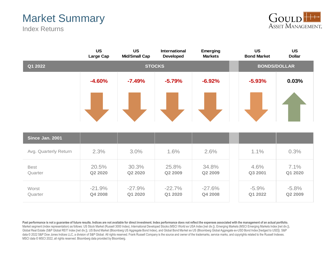# Market Summary

Index Returns



|                        | <b>US</b><br>Large Cap | <b>US</b><br><b>Mid/Small Cap</b> | International<br><b>Developed</b> | <b>Emerging</b><br><b>Markets</b> | <b>US</b><br><b>Bond Market</b> | <b>US</b><br><b>Dollar</b> |  |  |
|------------------------|------------------------|-----------------------------------|-----------------------------------|-----------------------------------|---------------------------------|----------------------------|--|--|
| Q1 2022                | <b>STOCKS</b>          |                                   |                                   |                                   |                                 | <b>BONDS/DOLLAR</b>        |  |  |
|                        | $-4.60%$               | $-7.49%$                          | $-5.79%$                          | $-6.92%$                          | $-5.93%$                        | 0.03%                      |  |  |
|                        |                        |                                   |                                   |                                   |                                 |                            |  |  |
| Since Jan. 2001        |                        |                                   |                                   |                                   |                                 |                            |  |  |
| Avg. Quarterly Return  | 2.3%                   | 3.0%                              | 1.6%                              | 2.6%                              | 1.1%                            | 0.3%                       |  |  |
| <b>Best</b><br>Quarter | 20.5%<br>Q2 2020       | 30.3%<br>Q2 2020                  | 25.8%<br>Q2 2009                  | 34.8%<br>Q2 2009                  | 4.6%<br>Q3 2001                 | 7.1%<br>Q1 2020            |  |  |
| Worst<br>Quarter       | $-21.9%$<br>Q4 2008    | $-27.9%$<br>Q1 2020               | $-22.7%$<br>Q1 2020               | $-27.6%$<br>Q4 2008               | $-5.9%$<br>Q1 2022              | $-5.8%$<br>Q2 2009         |  |  |

Past performance is not a guarantee of future results. Indices are not available for direct investment. Index performance does not reflect the expenses associated with the management of an actual portfolio. Market segment (index representation) as follows: US Stock Market (Russell 3000 Index), International Developed Stocks (MSCI World ex USA Index [net div.]), Emerging Markets (MSCI Emerging Markets Index [net div.]), Global Real Estate (S&P Global REIT Index [net div.]), US Bond Market (Bloomberg US Aggregate Bond Index), and Global Bond Market ex US (Bloomberg Global Aggregate ex-USD Bond Index [hedged to USD]). S&P data © 2022 S&P Dow Jones Indices LLC, a division of S&P Global. All rights reserved. Frank Russell Company is the source and owner of the trademarks, service marks, and copyrights related to the Russell Indexes. MSCI data © MSCI 2022, all rights reserved. Bloomberg data provided by Bloomberg.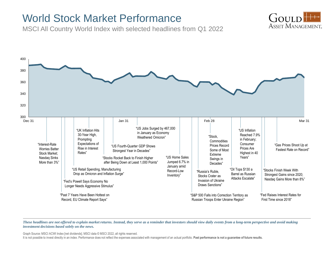## World Stock Market Performance

MSCI All Country World Index with selected headlines from Q1 2022





*These headlines are not offered to explain market returns. Instead, they serve as a reminder that investors should view daily events from a long-term perspective and avoid making investment decisions based solely on the news.*

Graph Source: MSCI ACWI Index [net dividends]. MSCI data © MSCI 2022, all rights reserved.

It is not possible to invest directly in an index. Performance does not reflect the expenses associated with management of an actual portfolio. Past performance is not a guarantee of future results.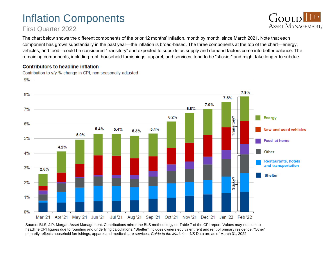# Inflation Components

## First Quarter 2022



The chart below shows the different components of the prior 12 months' inflation, month by month, since March 2021. Note that each component has grown substantially in the past year—the inflation is broad-based. The three components at the top of the chart—energy, vehicles, and food—could be considered "transitory" and expected to subside as supply and demand factors come into better balance. The remaining components, including rent, household furnishings, apparel, and services, tend to be "stickier" and might take longer to subdue.

### Contributors to headline inflation

Contribution to y/y % change in CPI, non seasonally adjusted



Source: BLS, J.P. Morgan Asset Management. Contributions mirror the BLS methodology on Table 7 of the CPI report. Values may not sum to headline CPI figures due to rounding and underlying calculations. "Shelter" includes owners equivalent rent and rent of primary residence. "Other" primarily reflects household furnishings, apparel and medical care services. *Guide to the Markets – US* Data are as of March 31, 2022.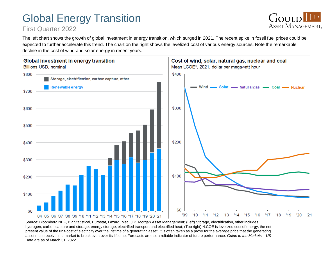# Global Energy Transition

## First Quarter 2022



The left chart shows the growth of global investment in energy transition, which surged in 2021. The recent spike in fossil fuel prices could be expected to further accelerate this trend. The chart on the right shows the levelized cost of various energy sources. Note the remarkable decline in the cost of wind and solar energy in recent years.



Source: Bloomberg NEF, BP Statistical, Eurostat, Lazard, Meti, J.P. Morgan Asset Management; (Left) Storage, electrification, other includes hydrogen, carbon capture and storage, energy storage, electrified transport and electrified heat; (Top right) \*LCOE is levelized cost of energy, the net present value of the unit-cost of electricity over the lifetime of a generating asset. It is often taken as a proxy for the average price that the generating asset must receive in a market to break even over its lifetime. Forecasts are not a reliable indicator of future performance. *Guide to the Markets – US*  Data are as of March 31, 2022.